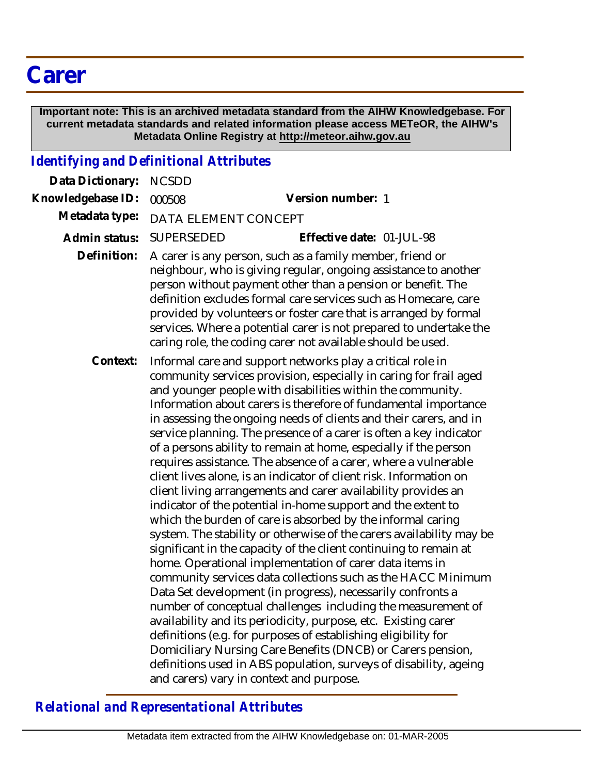## **Carer**

 **Important note: This is an archived metadata standard from the AIHW Knowledgebase. For current metadata standards and related information please access METeOR, the AIHW's Metadata Online Registry at http://meteor.aihw.gov.au**

## *Identifying and Definitional Attributes*

| Data Dictionary:  | <b>NCSDD</b>                                                                                                                                                                                                                                                                                                                                                                                                                                                                                                                                                                                                                                                                                                                                                                                                                                                                                                                                                                                                                                                                                                                                                                                                                                                                                                                                                                                                                                                                                                                                         |
|-------------------|------------------------------------------------------------------------------------------------------------------------------------------------------------------------------------------------------------------------------------------------------------------------------------------------------------------------------------------------------------------------------------------------------------------------------------------------------------------------------------------------------------------------------------------------------------------------------------------------------------------------------------------------------------------------------------------------------------------------------------------------------------------------------------------------------------------------------------------------------------------------------------------------------------------------------------------------------------------------------------------------------------------------------------------------------------------------------------------------------------------------------------------------------------------------------------------------------------------------------------------------------------------------------------------------------------------------------------------------------------------------------------------------------------------------------------------------------------------------------------------------------------------------------------------------------|
| Knowledgebase ID: | Version number: 1<br>000508                                                                                                                                                                                                                                                                                                                                                                                                                                                                                                                                                                                                                                                                                                                                                                                                                                                                                                                                                                                                                                                                                                                                                                                                                                                                                                                                                                                                                                                                                                                          |
| Metadata type:    | DATA ELEMENT CONCEPT                                                                                                                                                                                                                                                                                                                                                                                                                                                                                                                                                                                                                                                                                                                                                                                                                                                                                                                                                                                                                                                                                                                                                                                                                                                                                                                                                                                                                                                                                                                                 |
| Admin status:     | <b>SUPERSEDED</b><br>Effective date: 01-JUL-98                                                                                                                                                                                                                                                                                                                                                                                                                                                                                                                                                                                                                                                                                                                                                                                                                                                                                                                                                                                                                                                                                                                                                                                                                                                                                                                                                                                                                                                                                                       |
| Definition:       | A carer is any person, such as a family member, friend or<br>neighbour, who is giving regular, ongoing assistance to another<br>person without payment other than a pension or benefit. The<br>definition excludes formal care services such as Homecare, care<br>provided by volunteers or foster care that is arranged by formal<br>services. Where a potential carer is not prepared to undertake the<br>caring role, the coding carer not available should be used.                                                                                                                                                                                                                                                                                                                                                                                                                                                                                                                                                                                                                                                                                                                                                                                                                                                                                                                                                                                                                                                                              |
| Context:          | Informal care and support networks play a critical role in<br>community services provision, especially in caring for frail aged<br>and younger people with disabilities within the community.<br>Information about carers is therefore of fundamental importance<br>in assessing the ongoing needs of clients and their carers, and in<br>service planning. The presence of a carer is often a key indicator<br>of a persons ability to remain at home, especially if the person<br>requires assistance. The absence of a carer, where a vulnerable<br>client lives alone, is an indicator of client risk. Information on<br>client living arrangements and carer availability provides an<br>indicator of the potential in-home support and the extent to<br>which the burden of care is absorbed by the informal caring<br>system. The stability or otherwise of the carers availability may be<br>significant in the capacity of the client continuing to remain at<br>home. Operational implementation of carer data items in<br>community services data collections such as the HACC Minimum<br>Data Set development (in progress), necessarily confronts a<br>number of conceptual challenges including the measurement of<br>availability and its periodicity, purpose, etc. Existing carer<br>definitions (e.g. for purposes of establishing eligibility for<br>Domiciliary Nursing Care Benefits (DNCB) or Carers pension,<br>definitions used in ABS population, surveys of disability, ageing<br>and carers) vary in context and purpose. |

*Relational and Representational Attributes*